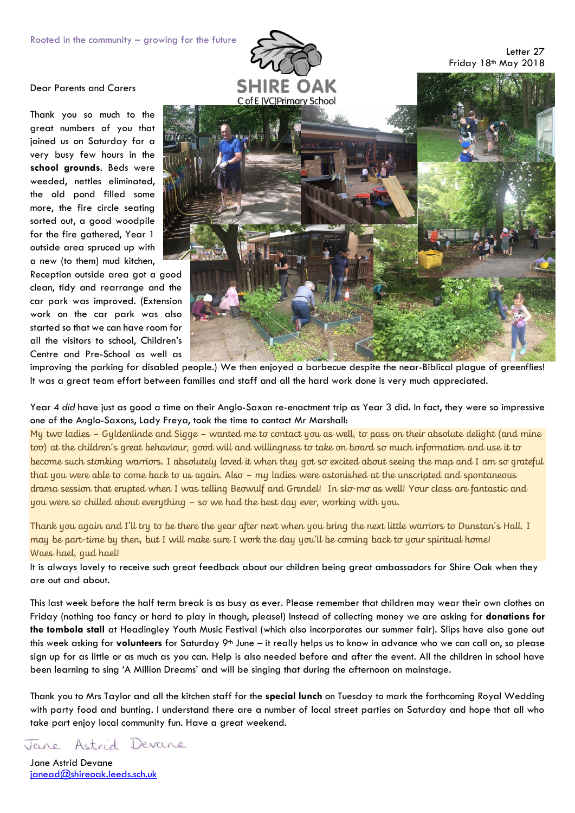

## Dear Parents and Carers

Thank you so much to the great numbers of you that joined us on Saturday for a very busy few hours in the **school grounds**. Beds were weeded, nettles eliminated, the old pond filled some more, the fire circle seating sorted out, a good woodpile for the fire gathered, Year 1 outside area spruced up with a new (to them) mud kitchen,

Reception outside area got a good clean, tidy and rearrange and the car park was improved. (Extension work on the car park was also started so that we can have room for all the visitors to school, Children's Centre and Pre-School as well as



improving the parking for disabled people.) We then enjoyed a barbecue despite the near-Biblical plague of greenflies! It was a great team effort between families and staff and all the hard work done is very much appreciated.

Year 4 *did* have just as good a time on their Anglo-Saxon re-enactment trip as Year 3 did. In fact, they were so impressive one of the Anglo-Saxons, Lady Freya, took the time to contact Mr Marshall:

My two ladies – Gyldenlinde and Sigge – wanted me to contact you as well, to pass on their absolute delight (and mine too) at the children's great behaviour, good will and willingness to take on board so much information and use it to become such stonking warriors. I absolutely loved it when they got so excited about seeing the map and I am so grateful that you were able to come back to us again. Also – my ladies were astonished at the unscripted and spontaneous drama session that erupted when I was telling Beowulf and Grendel! In slo-mo as well! Your class are fantastic and you were so chilled about everything – so we had the best day ever, working with you.

Thank you again and I'll try to be there the year after next when you bring the next little warriors to Dunstan's Hall. I may be part-time by then, but I will make sure I work the day you'll be coming back to your spiritual home! Waes hael, gud hael!

It is always lovely to receive such great feedback about our children being great ambassadors for Shire Oak when they are out and about.

This last week before the half term break is as busy as ever. Please remember that children may wear their own clothes on Friday (nothing too fancy or hard to play in though, please!) Instead of collecting money we are asking for **donations for the tombola stall** at Headingley Youth Music Festival (which also incorporates our summer fair). Slips have also gone out this week asking for **volunteers** for Saturday 9<sup>th</sup> June – it really helps us to know in advance who we can call on, so please sign up for as little or as much as you can. Help is also needed before and after the event. All the children in school have been learning to sing 'A Million Dreams' and will be singing that during the afternoon on mainstage.

Thank you to Mrs Taylor and all the kitchen staff for the **special lunch** on Tuesday to mark the forthcoming Royal Wedding with party food and bunting. I understand there are a number of local street parties on Saturday and hope that all who take part enjoy local community fun. Have a great weekend.

Astrid Devane Jane

Jane Astrid Devane [janead@shireoak.leeds.sch.uk](mailto:janead@shireoak.leeds.sch.uk)